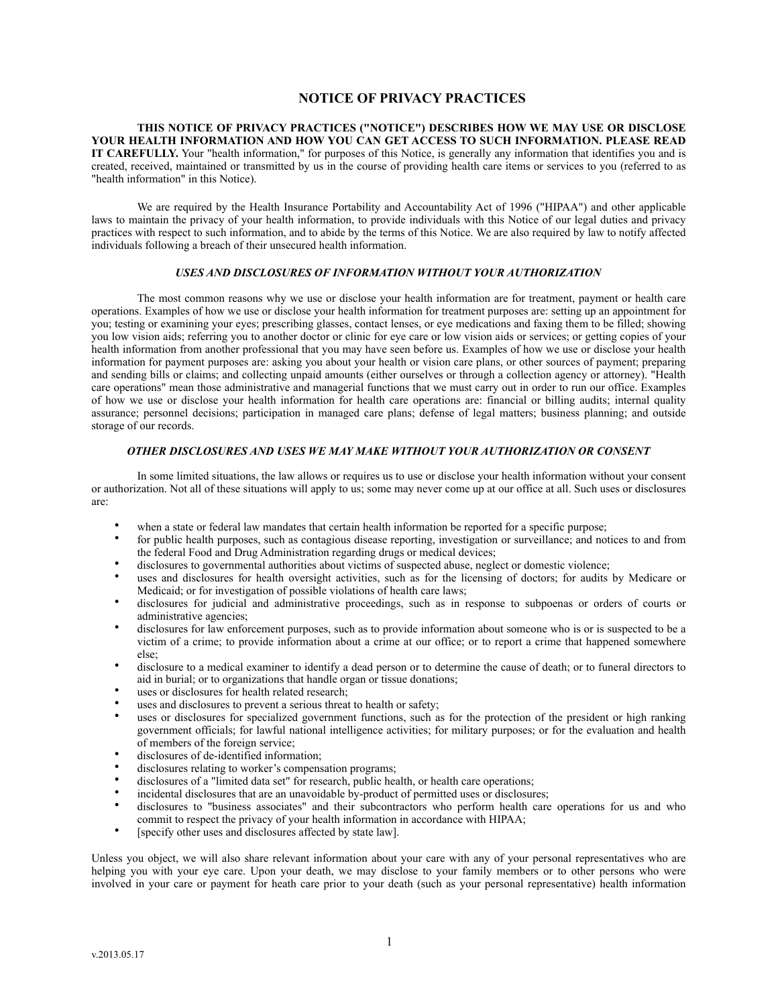# **NOTICE OF PRIVACY PRACTICES**

**THIS NOTICE OF PRIVACY PRACTICES ("NOTICE") DESCRIBES HOW WE MAY USE OR DISCLOSE YOUR HEALTH INFORMATION AND HOW YOU CAN GET ACCESS TO SUCH INFORMATION. PLEASE READ IT CAREFULLY.** Your "health information," for purposes of this Notice, is generally any information that identifies you and is created, received, maintained or transmitted by us in the course of providing health care items or services to you (referred to as "health information" in this Notice).

We are required by the Health Insurance Portability and Accountability Act of 1996 ("HIPAA") and other applicable laws to maintain the privacy of your health information, to provide individuals with this Notice of our legal duties and privacy practices with respect to such information, and to abide by the terms of this Notice. We are also required by law to notify affected individuals following a breach of their unsecured health information.

# *USES AND DISCLOSURES OF INFORMATION WITHOUT YOUR AUTHORIZATION*

The most common reasons why we use or disclose your health information are for treatment, payment or health care operations. Examples of how we use or disclose your health information for treatment purposes are: setting up an appointment for you; testing or examining your eyes; prescribing glasses, contact lenses, or eye medications and faxing them to be filled; showing you low vision aids; referring you to another doctor or clinic for eye care or low vision aids or services; or getting copies of your health information from another professional that you may have seen before us. Examples of how we use or disclose your health information for payment purposes are: asking you about your health or vision care plans, or other sources of payment; preparing and sending bills or claims; and collecting unpaid amounts (either ourselves or through a collection agency or attorney). "Health care operations" mean those administrative and managerial functions that we must carry out in order to run our office. Examples of how we use or disclose your health information for health care operations are: financial or billing audits; internal quality assurance; personnel decisions; participation in managed care plans; defense of legal matters; business planning; and outside storage of our records.

# *OTHER DISCLOSURES AND USES WE MAY MAKE WITHOUT YOUR AUTHORIZATION OR CONSENT*

In some limited situations, the law allows or requires us to use or disclose your health information without your consent or authorization. Not all of these situations will apply to us; some may never come up at our office at all. Such uses or disclosures are:

- when a state or federal law mandates that certain health information be reported for a specific purpose:
- for public health purposes, such as contagious disease reporting, investigation or surveillance; and notices to and from the federal Food and Drug Administration regarding drugs or medical devices;
- disclosures to governmental authorities about victims of suspected abuse, neglect or domestic violence;
- uses and disclosures for health oversight activities, such as for the licensing of doctors; for audits by Medicare or Medicaid; or for investigation of possible violations of health care laws;
- disclosures for judicial and administrative proceedings, such as in response to subpoenas or orders of courts or administrative agencies;
- disclosures for law enforcement purposes, such as to provide information about someone who is or is suspected to be a victim of a crime; to provide information about a crime at our office; or to report a crime that happened somewhere else;
- disclosure to a medical examiner to identify a dead person or to determine the cause of death; or to funeral directors to aid in burial; or to organizations that handle organ or tissue donations;
- uses or disclosures for health related research;
- uses and disclosures to prevent a serious threat to health or safety:
- uses or disclosures for specialized government functions, such as for the protection of the president or high ranking government officials; for lawful national intelligence activities; for military purposes; or for the evaluation and health of members of the foreign service;
- disclosures of de-identified information;
- disclosures relating to worker's compensation programs;
- disclosures of a "limited data set" for research, public health, or health care operations;
- incidental disclosures that are an unavoidable by-product of permitted uses or disclosures;
- disclosures to "business associates" and their subcontractors who perform health care operations for us and who commit to respect the privacy of your health information in accordance with HIPAA;
- [specify other uses and disclosures affected by state law].

Unless you object, we will also share relevant information about your care with any of your personal representatives who are helping you with your eye care. Upon your death, we may disclose to your family members or to other persons who were involved in your care or payment for heath care prior to your death (such as your personal representative) health information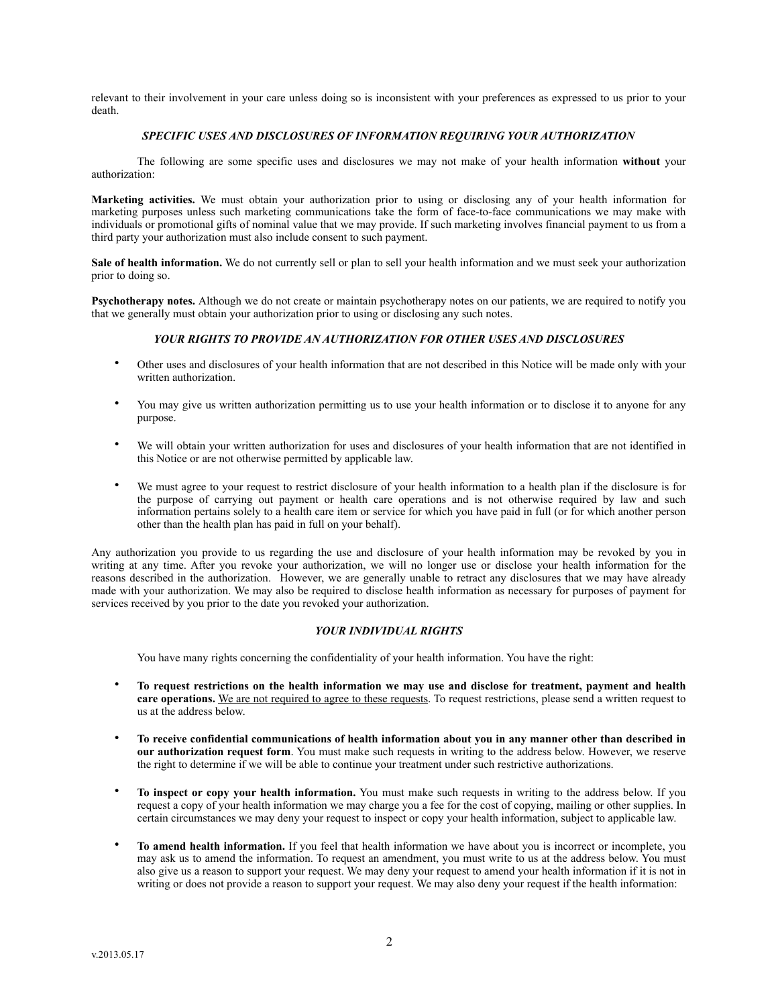relevant to their involvement in your care unless doing so is inconsistent with your preferences as expressed to us prior to your death.

# *SPECIFIC USES AND DISCLOSURES OF INFORMATION REQUIRING YOUR AUTHORIZATION*

The following are some specific uses and disclosures we may not make of your health information **without** your authorization:

**Marketing activities.** We must obtain your authorization prior to using or disclosing any of your health information for marketing purposes unless such marketing communications take the form of face-to-face communications we may make with individuals or promotional gifts of nominal value that we may provide. If such marketing involves financial payment to us from a third party your authorization must also include consent to such payment.

Sale of health information. We do not currently sell or plan to sell your health information and we must seek your authorization prior to doing so.

**Psychotherapy notes.** Although we do not create or maintain psychotherapy notes on our patients, we are required to notify you that we generally must obtain your authorization prior to using or disclosing any such notes.

## *YOUR RIGHTS TO PROVIDE AN AUTHORIZATION FOR OTHER USES AND DISCLOSURES*

- Other uses and disclosures of your health information that are not described in this Notice will be made only with your written authorization.
- You may give us written authorization permitting us to use your health information or to disclose it to anyone for any purpose.
- We will obtain your written authorization for uses and disclosures of your health information that are not identified in this Notice or are not otherwise permitted by applicable law.
- We must agree to your request to restrict disclosure of your health information to a health plan if the disclosure is for the purpose of carrying out payment or health care operations and is not otherwise required by law and such information pertains solely to a health care item or service for which you have paid in full (or for which another person other than the health plan has paid in full on your behalf).

Any authorization you provide to us regarding the use and disclosure of your health information may be revoked by you in writing at any time. After you revoke your authorization, we will no longer use or disclose your health information for the reasons described in the authorization. However, we are generally unable to retract any disclosures that we may have already made with your authorization. We may also be required to disclose health information as necessary for purposes of payment for services received by you prior to the date you revoked your authorization.

#### *YOUR INDIVIDUAL RIGHTS*

You have many rights concerning the confidentiality of your health information. You have the right:

- **To request restrictions on the health information we may use and disclose for treatment, payment and health care operations.** We are not required to agree to these requests. To request restrictions, please send a written request to us at the address below.
- **To receive confidential communications of health information about you in any manner other than described in our authorization request form**. You must make such requests in writing to the address below. However, we reserve the right to determine if we will be able to continue your treatment under such restrictive authorizations.
- **To inspect or copy your health information.** You must make such requests in writing to the address below. If you request a copy of your health information we may charge you a fee for the cost of copying, mailing or other supplies. In certain circumstances we may deny your request to inspect or copy your health information, subject to applicable law.
- **To amend health information.** If you feel that health information we have about you is incorrect or incomplete, you may ask us to amend the information. To request an amendment, you must write to us at the address below. You must also give us a reason to support your request. We may deny your request to amend your health information if it is not in writing or does not provide a reason to support your request. We may also deny your request if the health information: